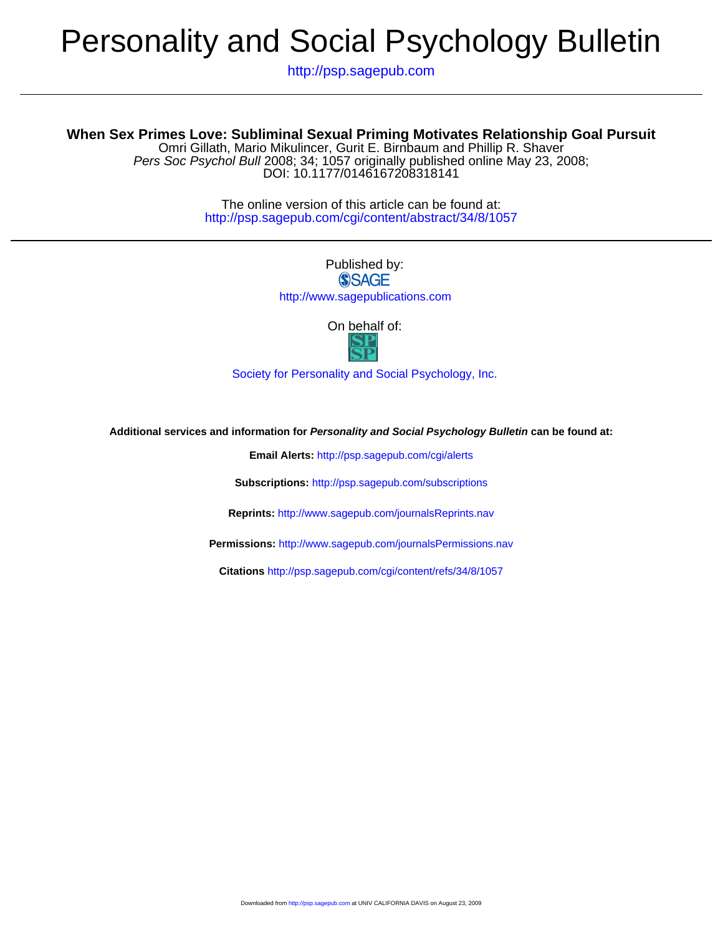# Personality and Social Psychology Bulletin

http://psp.sagepub.com

### **When Sex Primes Love: Subliminal Sexual Priming Motivates Relationship Goal Pursuit**

DOI: 10.1177/0146167208318141 Pers Soc Psychol Bull 2008; 34; 1057 originally published online May 23, 2008; Omri Gillath, Mario Mikulincer, Gurit E. Birnbaum and Phillip R. Shaver

> http://psp.sagepub.com/cgi/content/abstract/34/8/1057 The online version of this article can be found at:

# Published by: **SSAGE**

http://www.sagepublications.com

On behalf of:



[Society for Personality and Social Psychology, Inc.](http://www.spsp.org/)

**Additional services and information for Personality and Social Psychology Bulletin can be found at:**

**Email Alerts:** <http://psp.sagepub.com/cgi/alerts>

**Subscriptions:** <http://psp.sagepub.com/subscriptions>

**Reprints:** <http://www.sagepub.com/journalsReprints.nav>

**Permissions:** <http://www.sagepub.com/journalsPermissions.nav>

**Citations** <http://psp.sagepub.com/cgi/content/refs/34/8/1057>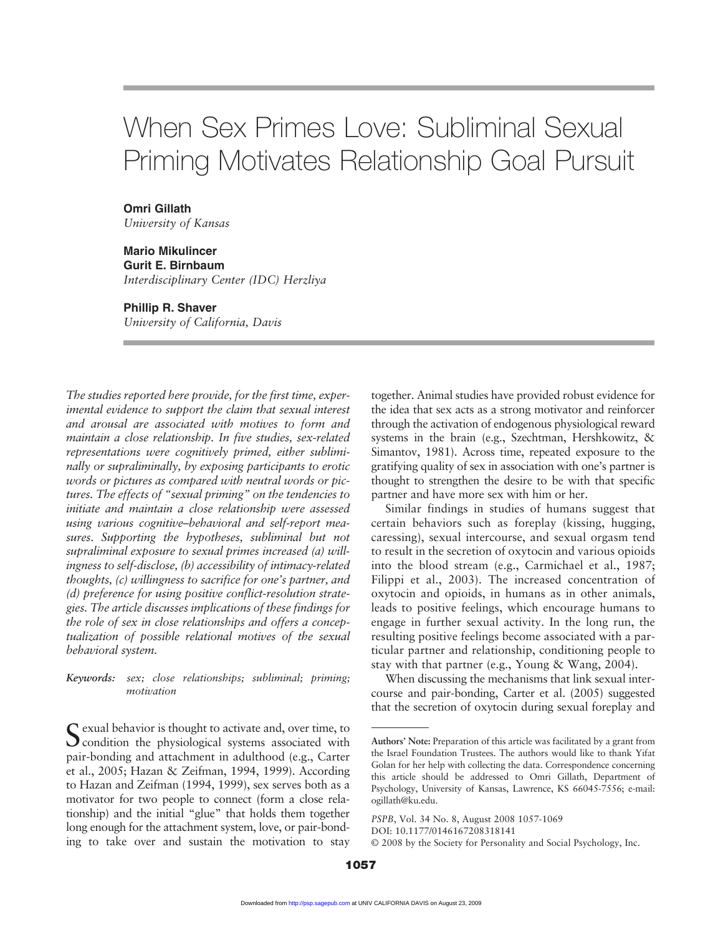# When Sex Primes Love: Subliminal Sexual Priming Motivates Relationship Goal Pursuit

#### **Omri Gillath**

*University of Kansas*

## **Mario Mikulincer**

**Gurit E. Birnbaum** *Interdisciplinary Center (IDC) Herzliya*

#### **Phillip R. Shaver**

*University of California, Davis*

*The studies reported here provide, for the first time, experimental evidence to support the claim that sexual interest and arousal are associated with motives to form and maintain a close relationship. In five studies, sex-related representations were cognitively primed, either subliminally or supraliminally, by exposing participants to erotic words or pictures as compared with neutral words or pictures. The effects of "sexual priming" on the tendencies to initiate and maintain a close relationship were assessed using various cognitive–behavioral and self-report measures. Supporting the hypotheses, subliminal but not supraliminal exposure to sexual primes increased (a) willingness to self-disclose, (b) accessibility of intimacy-related thoughts, (c) willingness to sacrifice for one's partner, and (d) preference for using positive conflict-resolution strategies. The article discusses implications of these findings for the role of sex in close relationships and offers a conceptualization of possible relational motives of the sexual behavioral system.* 

*Keywords: sex; close relationships; subliminal; priming; motivation* 

Sexual behavior is thought to activate and, over time, to condition the physiological systems associated with pair-bonding and attachment in adulthood (e.g., Carter et al., 2005; Hazan & Zeifman, 1994, 1999). According to Hazan and Zeifman (1994, 1999), sex serves both as a motivator for two people to connect (form a close relationship) and the initial "glue" that holds them together long enough for the attachment system, love, or pair-bonding to take over and sustain the motivation to stay together. Animal studies have provided robust evidence for the idea that sex acts as a strong motivator and reinforcer through the activation of endogenous physiological reward systems in the brain (e.g., Szechtman, Hershkowitz, & Simantov, 1981). Across time, repeated exposure to the gratifying quality of sex in association with one's partner is thought to strengthen the desire to be with that specific partner and have more sex with him or her.

Similar findings in studies of humans suggest that certain behaviors such as foreplay (kissing, hugging, caressing), sexual intercourse, and sexual orgasm tend to result in the secretion of oxytocin and various opioids into the blood stream (e.g., Carmichael et al., 1987; Filippi et al., 2003). The increased concentration of oxytocin and opioids, in humans as in other animals, leads to positive feelings, which encourage humans to engage in further sexual activity. In the long run, the resulting positive feelings become associated with a particular partner and relationship, conditioning people to stay with that partner (e.g., Young & Wang, 2004).

When discussing the mechanisms that link sexual intercourse and pair-bonding, Carter et al. (2005) suggested that the secretion of oxytocin during sexual foreplay and

**Authors' Note:** Preparation of this article was facilitated by a grant from the Israel Foundation Trustees. The authors would like to thank Yifat Golan for her help with collecting the data. Correspondence concerning this article should be addressed to Omri Gillath, Department of Psychology, University of Kansas, Lawrence, KS 66045-7556; e-mail: ogillath@ku.edu.

*PSPB*, Vol. 34 No. 8, August 2008 1057-1069

DOI: 10.1177/0146167208318141

<sup>© 2008</sup> by the Society for Personality and Social Psychology, Inc.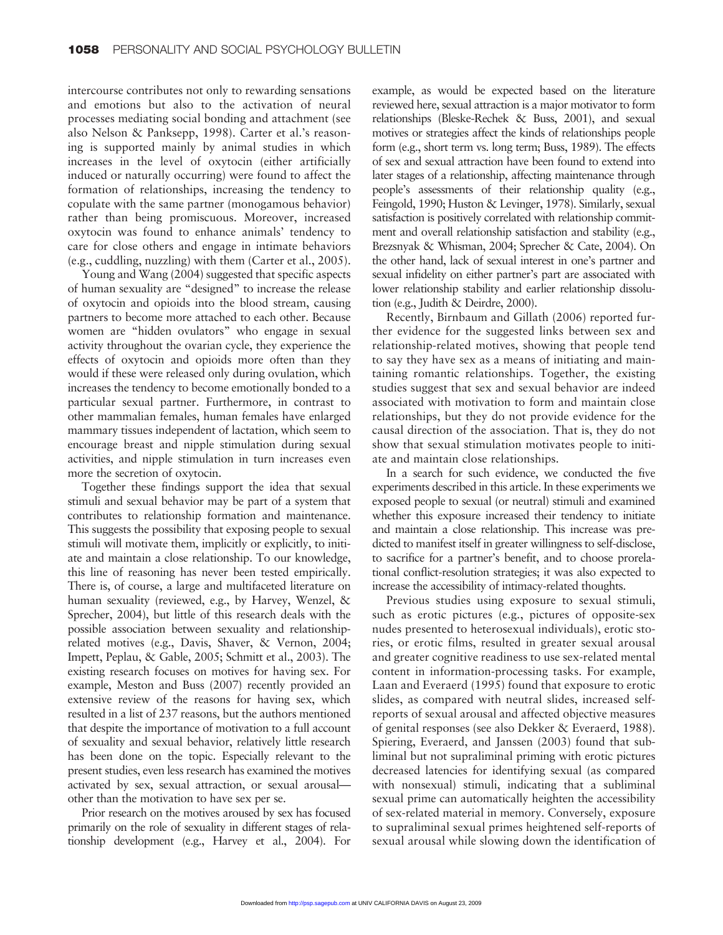intercourse contributes not only to rewarding sensations and emotions but also to the activation of neural processes mediating social bonding and attachment (see also Nelson & Panksepp, 1998). Carter et al.'s reasoning is supported mainly by animal studies in which increases in the level of oxytocin (either artificially induced or naturally occurring) were found to affect the formation of relationships, increasing the tendency to copulate with the same partner (monogamous behavior) rather than being promiscuous. Moreover, increased oxytocin was found to enhance animals' tendency to care for close others and engage in intimate behaviors (e.g., cuddling, nuzzling) with them (Carter et al., 2005).

Young and Wang (2004) suggested that specific aspects of human sexuality are "designed" to increase the release of oxytocin and opioids into the blood stream, causing partners to become more attached to each other. Because women are "hidden ovulators" who engage in sexual activity throughout the ovarian cycle, they experience the effects of oxytocin and opioids more often than they would if these were released only during ovulation, which increases the tendency to become emotionally bonded to a particular sexual partner. Furthermore, in contrast to other mammalian females, human females have enlarged mammary tissues independent of lactation, which seem to encourage breast and nipple stimulation during sexual activities, and nipple stimulation in turn increases even more the secretion of oxytocin.

Together these findings support the idea that sexual stimuli and sexual behavior may be part of a system that contributes to relationship formation and maintenance. This suggests the possibility that exposing people to sexual stimuli will motivate them, implicitly or explicitly, to initiate and maintain a close relationship. To our knowledge, this line of reasoning has never been tested empirically. There is, of course, a large and multifaceted literature on human sexuality (reviewed, e.g., by Harvey, Wenzel, & Sprecher, 2004), but little of this research deals with the possible association between sexuality and relationshiprelated motives (e.g., Davis, Shaver, & Vernon, 2004; Impett, Peplau, & Gable, 2005; Schmitt et al., 2003). The existing research focuses on motives for having sex. For example, Meston and Buss (2007) recently provided an extensive review of the reasons for having sex, which resulted in a list of 237 reasons, but the authors mentioned that despite the importance of motivation to a full account of sexuality and sexual behavior, relatively little research has been done on the topic. Especially relevant to the present studies, even less research has examined the motives activated by sex, sexual attraction, or sexual arousal other than the motivation to have sex per se.

Prior research on the motives aroused by sex has focused primarily on the role of sexuality in different stages of relationship development (e.g., Harvey et al., 2004). For

example, as would be expected based on the literature reviewed here, sexual attraction is a major motivator to form relationships (Bleske-Rechek & Buss, 2001), and sexual motives or strategies affect the kinds of relationships people form (e.g., short term vs. long term; Buss, 1989). The effects of sex and sexual attraction have been found to extend into later stages of a relationship, affecting maintenance through people's assessments of their relationship quality (e.g., Feingold, 1990; Huston & Levinger, 1978). Similarly, sexual satisfaction is positively correlated with relationship commitment and overall relationship satisfaction and stability (e.g., Brezsnyak & Whisman, 2004; Sprecher & Cate, 2004). On the other hand, lack of sexual interest in one's partner and sexual infidelity on either partner's part are associated with lower relationship stability and earlier relationship dissolution (e.g., Judith & Deirdre, 2000).

Recently, Birnbaum and Gillath (2006) reported further evidence for the suggested links between sex and relationship-related motives, showing that people tend to say they have sex as a means of initiating and maintaining romantic relationships. Together, the existing studies suggest that sex and sexual behavior are indeed associated with motivation to form and maintain close relationships, but they do not provide evidence for the causal direction of the association. That is, they do not show that sexual stimulation motivates people to initiate and maintain close relationships.

In a search for such evidence, we conducted the five experiments described in this article. In these experiments we exposed people to sexual (or neutral) stimuli and examined whether this exposure increased their tendency to initiate and maintain a close relationship. This increase was predicted to manifest itself in greater willingness to self-disclose, to sacrifice for a partner's benefit, and to choose prorelational conflict-resolution strategies; it was also expected to increase the accessibility of intimacy-related thoughts.

Previous studies using exposure to sexual stimuli, such as erotic pictures (e.g., pictures of opposite-sex nudes presented to heterosexual individuals), erotic stories, or erotic films, resulted in greater sexual arousal and greater cognitive readiness to use sex-related mental content in information-processing tasks. For example, Laan and Everaerd (1995) found that exposure to erotic slides, as compared with neutral slides, increased selfreports of sexual arousal and affected objective measures of genital responses (see also Dekker & Everaerd, 1988). Spiering, Everaerd, and Janssen (2003) found that subliminal but not supraliminal priming with erotic pictures decreased latencies for identifying sexual (as compared with nonsexual) stimuli, indicating that a subliminal sexual prime can automatically heighten the accessibility of sex-related material in memory. Conversely, exposure to supraliminal sexual primes heightened self-reports of sexual arousal while slowing down the identification of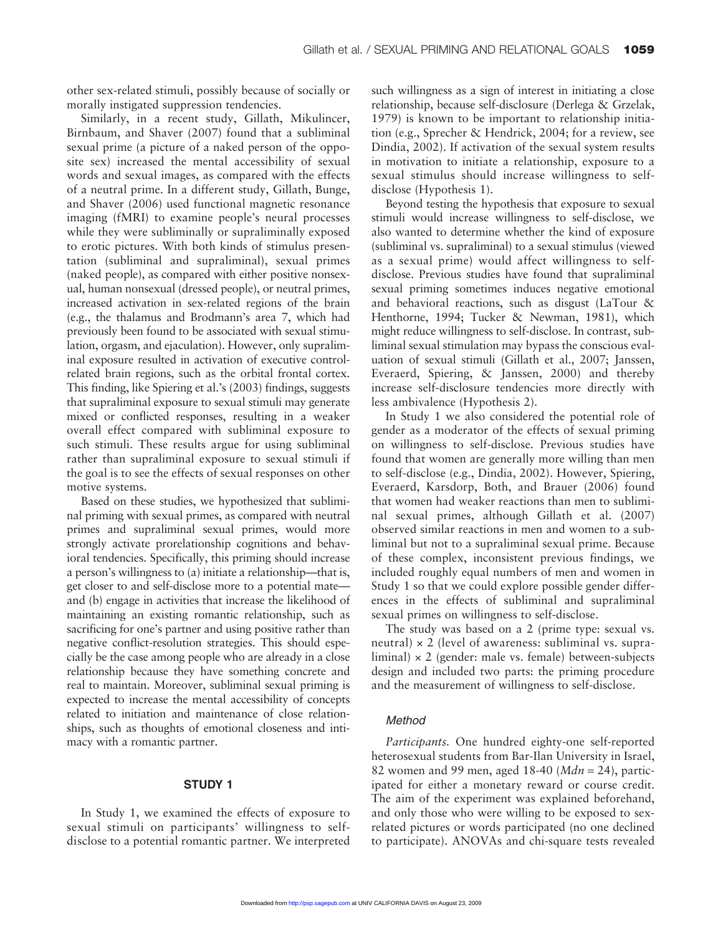other sex-related stimuli, possibly because of socially or morally instigated suppression tendencies.

Similarly, in a recent study, Gillath, Mikulincer, Birnbaum, and Shaver (2007) found that a subliminal sexual prime (a picture of a naked person of the opposite sex) increased the mental accessibility of sexual words and sexual images, as compared with the effects of a neutral prime. In a different study, Gillath, Bunge, and Shaver (2006) used functional magnetic resonance imaging (fMRI) to examine people's neural processes while they were subliminally or supraliminally exposed to erotic pictures. With both kinds of stimulus presentation (subliminal and supraliminal), sexual primes (naked people), as compared with either positive nonsexual, human nonsexual (dressed people), or neutral primes, increased activation in sex-related regions of the brain (e.g., the thalamus and Brodmann's area 7, which had previously been found to be associated with sexual stimulation, orgasm, and ejaculation). However, only supraliminal exposure resulted in activation of executive controlrelated brain regions, such as the orbital frontal cortex. This finding, like Spiering et al.'s (2003) findings, suggests that supraliminal exposure to sexual stimuli may generate mixed or conflicted responses, resulting in a weaker overall effect compared with subliminal exposure to such stimuli. These results argue for using subliminal rather than supraliminal exposure to sexual stimuli if the goal is to see the effects of sexual responses on other motive systems.

Based on these studies, we hypothesized that subliminal priming with sexual primes, as compared with neutral primes and supraliminal sexual primes, would more strongly activate prorelationship cognitions and behavioral tendencies. Specifically, this priming should increase a person's willingness to (a) initiate a relationship—that is, get closer to and self-disclose more to a potential mate and (b) engage in activities that increase the likelihood of maintaining an existing romantic relationship, such as sacrificing for one's partner and using positive rather than negative conflict-resolution strategies. This should especially be the case among people who are already in a close relationship because they have something concrete and real to maintain. Moreover, subliminal sexual priming is expected to increase the mental accessibility of concepts related to initiation and maintenance of close relationships, such as thoughts of emotional closeness and intimacy with a romantic partner.

#### **STUDY 1**

In Study 1, we examined the effects of exposure to sexual stimuli on participants' willingness to selfdisclose to a potential romantic partner. We interpreted such willingness as a sign of interest in initiating a close relationship, because self-disclosure (Derlega & Grzelak, 1979) is known to be important to relationship initiation (e.g., Sprecher & Hendrick, 2004; for a review, see Dindia, 2002). If activation of the sexual system results in motivation to initiate a relationship, exposure to a sexual stimulus should increase willingness to selfdisclose (Hypothesis 1).

Beyond testing the hypothesis that exposure to sexual stimuli would increase willingness to self-disclose, we also wanted to determine whether the kind of exposure (subliminal vs. supraliminal) to a sexual stimulus (viewed as a sexual prime) would affect willingness to selfdisclose. Previous studies have found that supraliminal sexual priming sometimes induces negative emotional and behavioral reactions, such as disgust (LaTour & Henthorne, 1994; Tucker & Newman, 1981), which might reduce willingness to self-disclose. In contrast, subliminal sexual stimulation may bypass the conscious evaluation of sexual stimuli (Gillath et al., 2007; Janssen, Everaerd, Spiering, & Janssen, 2000) and thereby increase self-disclosure tendencies more directly with less ambivalence (Hypothesis 2).

In Study 1 we also considered the potential role of gender as a moderator of the effects of sexual priming on willingness to self-disclose. Previous studies have found that women are generally more willing than men to self-disclose (e.g., Dindia, 2002). However, Spiering, Everaerd, Karsdorp, Both, and Brauer (2006) found that women had weaker reactions than men to subliminal sexual primes, although Gillath et al. (2007) observed similar reactions in men and women to a subliminal but not to a supraliminal sexual prime. Because of these complex, inconsistent previous findings, we included roughly equal numbers of men and women in Study 1 so that we could explore possible gender differences in the effects of subliminal and supraliminal sexual primes on willingness to self-disclose.

The study was based on a 2 (prime type: sexual vs. neutral)  $\times$  2 (level of awareness: subliminal vs. supraliminal)  $\times$  2 (gender: male vs. female) between-subjects design and included two parts: the priming procedure and the measurement of willingness to self-disclose.

#### Method

*Participants.* One hundred eighty-one self-reported heterosexual students from Bar-Ilan University in Israel, 82 women and 99 men, aged 18-40 (*Mdn* = 24), participated for either a monetary reward or course credit. The aim of the experiment was explained beforehand, and only those who were willing to be exposed to sexrelated pictures or words participated (no one declined to participate). ANOVAs and chi-square tests revealed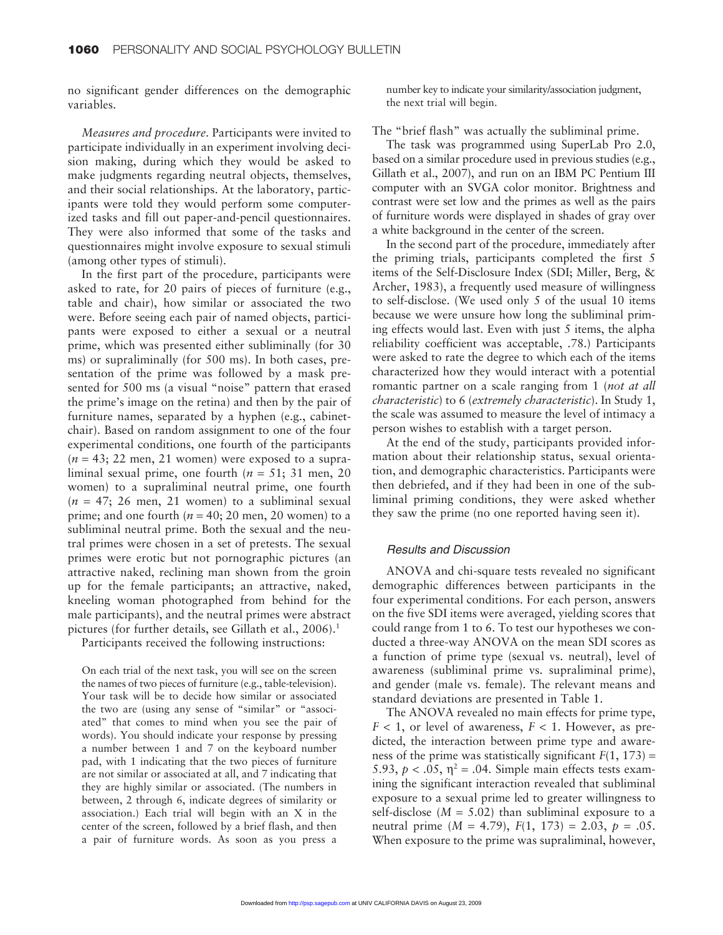no significant gender differences on the demographic variables.

number key to indicate your similarity/association judgment, the next trial will begin.

*Measures and procedure.* Participants were invited to participate individually in an experiment involving decision making, during which they would be asked to make judgments regarding neutral objects, themselves, and their social relationships. At the laboratory, participants were told they would perform some computerized tasks and fill out paper-and-pencil questionnaires. They were also informed that some of the tasks and questionnaires might involve exposure to sexual stimuli (among other types of stimuli).

In the first part of the procedure, participants were asked to rate, for 20 pairs of pieces of furniture (e.g., table and chair), how similar or associated the two were. Before seeing each pair of named objects, participants were exposed to either a sexual or a neutral prime, which was presented either subliminally (for 30 ms) or supraliminally (for 500 ms). In both cases, presentation of the prime was followed by a mask presented for 500 ms (a visual "noise" pattern that erased the prime's image on the retina) and then by the pair of furniture names, separated by a hyphen (e.g., cabinetchair). Based on random assignment to one of the four experimental conditions, one fourth of the participants  $(n = 43; 22 \text{ men}, 21 \text{ women})$  were exposed to a supraliminal sexual prime, one fourth (*n* = 51; 31 men, 20 women) to a supraliminal neutral prime, one fourth  $(n = 47; 26$  men, 21 women) to a subliminal sexual prime; and one fourth  $(n = 40; 20 \text{ men}, 20 \text{ women})$  to a subliminal neutral prime. Both the sexual and the neutral primes were chosen in a set of pretests. The sexual primes were erotic but not pornographic pictures (an attractive naked, reclining man shown from the groin up for the female participants; an attractive, naked, kneeling woman photographed from behind for the male participants), and the neutral primes were abstract pictures (for further details, see Gillath et al., 2006).<sup>1</sup>

Participants received the following instructions:

On each trial of the next task, you will see on the screen the names of two pieces of furniture (e.g., table-television). Your task will be to decide how similar or associated the two are (using any sense of "similar" or "associated" that comes to mind when you see the pair of words). You should indicate your response by pressing a number between 1 and 7 on the keyboard number pad, with 1 indicating that the two pieces of furniture are not similar or associated at all, and 7 indicating that they are highly similar or associated. (The numbers in between, 2 through 6, indicate degrees of similarity or association.) Each trial will begin with an X in the center of the screen, followed by a brief flash, and then a pair of furniture words. As soon as you press a The "brief flash" was actually the subliminal prime.

The task was programmed using SuperLab Pro 2.0, based on a similar procedure used in previous studies (e.g., Gillath et al., 2007), and run on an IBM PC Pentium III computer with an SVGA color monitor. Brightness and contrast were set low and the primes as well as the pairs of furniture words were displayed in shades of gray over a white background in the center of the screen.

In the second part of the procedure, immediately after the priming trials, participants completed the first 5 items of the Self-Disclosure Index (SDI; Miller, Berg, & Archer, 1983), a frequently used measure of willingness to self-disclose. (We used only 5 of the usual 10 items because we were unsure how long the subliminal priming effects would last. Even with just 5 items, the alpha reliability coefficient was acceptable, .78.) Participants were asked to rate the degree to which each of the items characterized how they would interact with a potential romantic partner on a scale ranging from 1 (*not at all characteristic*) to 6 (*extremely characteristic*). In Study 1, the scale was assumed to measure the level of intimacy a person wishes to establish with a target person.

At the end of the study, participants provided information about their relationship status, sexual orientation, and demographic characteristics. Participants were then debriefed, and if they had been in one of the subliminal priming conditions, they were asked whether they saw the prime (no one reported having seen it).

#### Results and Discussion

ANOVA and chi-square tests revealed no significant demographic differences between participants in the four experimental conditions. For each person, answers on the five SDI items were averaged, yielding scores that could range from 1 to 6. To test our hypotheses we conducted a three-way ANOVA on the mean SDI scores as a function of prime type (sexual vs. neutral), level of awareness (subliminal prime vs. supraliminal prime), and gender (male vs. female). The relevant means and standard deviations are presented in Table 1.

The ANOVA revealed no main effects for prime type,  $F < 1$ , or level of awareness,  $F < 1$ . However, as predicted, the interaction between prime type and awareness of the prime was statistically significant  $F(1, 173) =$ 5.93,  $p < .05$ ,  $\eta^2 = .04$ . Simple main effects tests examining the significant interaction revealed that subliminal exposure to a sexual prime led to greater willingness to self-disclose  $(M = 5.02)$  than subliminal exposure to a neutral prime (*M* = 4.79), *F*(1, 173) = 2.03, *p* = .05. When exposure to the prime was supraliminal, however,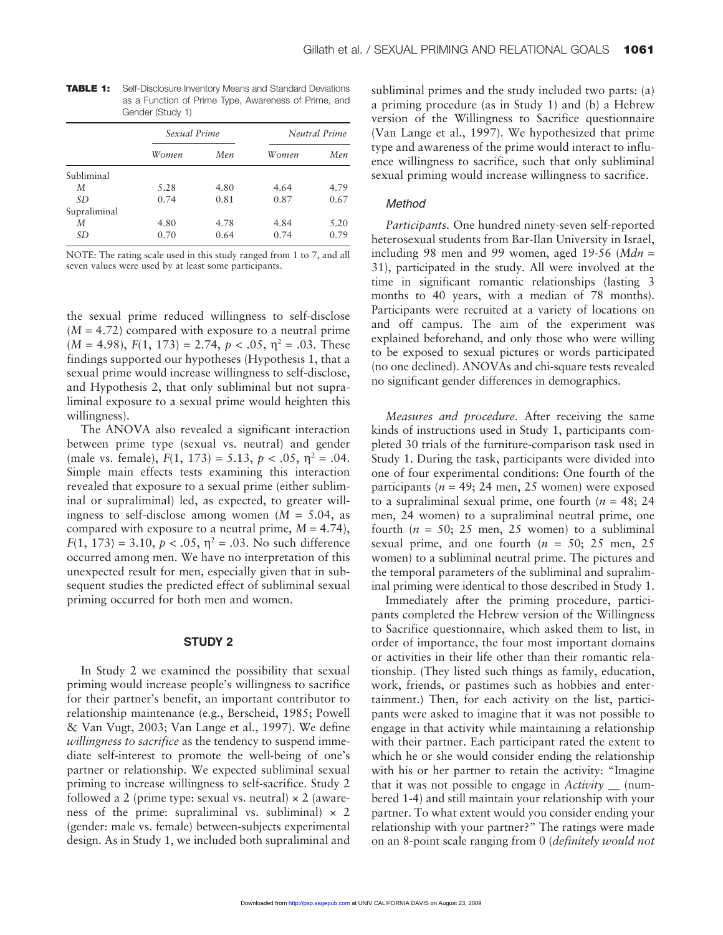|              | Sexual Prime |      | Neutral Prime |      |
|--------------|--------------|------|---------------|------|
|              | Women        | Men  | Women         | Men  |
| Subliminal   |              |      |               |      |
| M            | 5.28         | 4.80 | 4.64          | 4.79 |
| SD           | 0.74         | 0.81 | 0.87          | 0.67 |
| Supraliminal |              |      |               |      |
| M            | 4.80         | 4.78 | 4.84          | 5.20 |
| <b>SD</b>    | 0.70         | 0.64 | 0.74          | 0.79 |

**TABLE 1:** Self-Disclosure Inventory Means and Standard Deviations as a Function of Prime Type, Awareness of Prime, and Gender (Study 1)

NOTE: The rating scale used in this study ranged from 1 to 7, and all seven values were used by at least some participants.

the sexual prime reduced willingness to self-disclose  $(M = 4.72)$  compared with exposure to a neutral prime  $(M = 4.98), F(1, 173) = 2.74, p < .05, \eta^2 = .03$ . These findings supported our hypotheses (Hypothesis 1, that a sexual prime would increase willingness to self-disclose, and Hypothesis 2, that only subliminal but not supraliminal exposure to a sexual prime would heighten this willingness).

The ANOVA also revealed a significant interaction between prime type (sexual vs. neutral) and gender (male vs. female),  $F(1, 173) = 5.13$ ,  $p < .05$ ,  $\eta^2 = .04$ . Simple main effects tests examining this interaction revealed that exposure to a sexual prime (either subliminal or supraliminal) led, as expected, to greater willingness to self-disclose among women (*M* = 5.04, as compared with exposure to a neutral prime,  $M = 4.74$ ), *F*(1, 173) = 3.10,  $p < .05$ ,  $\eta^2$  = .03. No such difference occurred among men. We have no interpretation of this unexpected result for men, especially given that in subsequent studies the predicted effect of subliminal sexual priming occurred for both men and women.

#### **STUDY 2**

In Study 2 we examined the possibility that sexual priming would increase people's willingness to sacrifice for their partner's benefit, an important contributor to relationship maintenance (e.g., Berscheid, 1985; Powell & Van Vugt, 2003; Van Lange et al., 1997). We define *willingness to sacrifice* as the tendency to suspend immediate self-interest to promote the well-being of one's partner or relationship. We expected subliminal sexual priming to increase willingness to self-sacrifice. Study 2 followed a 2 (prime type: sexual vs. neutral)  $\times$  2 (awareness of the prime: supraliminal vs. subliminal)  $\times$  2 (gender: male vs. female) between-subjects experimental design. As in Study 1, we included both supraliminal and subliminal primes and the study included two parts: (a) a priming procedure (as in Study 1) and (b) a Hebrew version of the Willingness to Sacrifice questionnaire (Van Lange et al., 1997). We hypothesized that prime type and awareness of the prime would interact to influence willingness to sacrifice, such that only subliminal sexual priming would increase willingness to sacrifice.

#### Method

*Participants.* One hundred ninety-seven self-reported heterosexual students from Bar-Ilan University in Israel, including 98 men and 99 women, aged 19-56 (*Mdn* = 31), participated in the study. All were involved at the time in significant romantic relationships (lasting 3 months to 40 years, with a median of 78 months). Participants were recruited at a variety of locations on and off campus. The aim of the experiment was explained beforehand, and only those who were willing to be exposed to sexual pictures or words participated (no one declined). ANOVAs and chi-square tests revealed no significant gender differences in demographics.

*Measures and procedure.* After receiving the same kinds of instructions used in Study 1, participants completed 30 trials of the furniture-comparison task used in Study 1. During the task, participants were divided into one of four experimental conditions: One fourth of the participants ( $n = 49$ ; 24 men, 25 women) were exposed to a supraliminal sexual prime, one fourth  $(n = 48; 24)$ men, 24 women) to a supraliminal neutral prime, one fourth  $(n = 50; 25$  men, 25 women) to a subliminal sexual prime, and one fourth (*n* = 50; 25 men, 25 women) to a subliminal neutral prime. The pictures and the temporal parameters of the subliminal and supraliminal priming were identical to those described in Study 1.

Immediately after the priming procedure, participants completed the Hebrew version of the Willingness to Sacrifice questionnaire, which asked them to list, in order of importance, the four most important domains or activities in their life other than their romantic relationship. (They listed such things as family, education, work, friends, or pastimes such as hobbies and entertainment.) Then, for each activity on the list, participants were asked to imagine that it was not possible to engage in that activity while maintaining a relationship with their partner. Each participant rated the extent to which he or she would consider ending the relationship with his or her partner to retain the activity: "Imagine that it was not possible to engage in *Activity \_\_* (numbered 1-4) and still maintain your relationship with your partner. To what extent would you consider ending your relationship with your partner?" The ratings were made on an 8-point scale ranging from 0 (*definitely would not*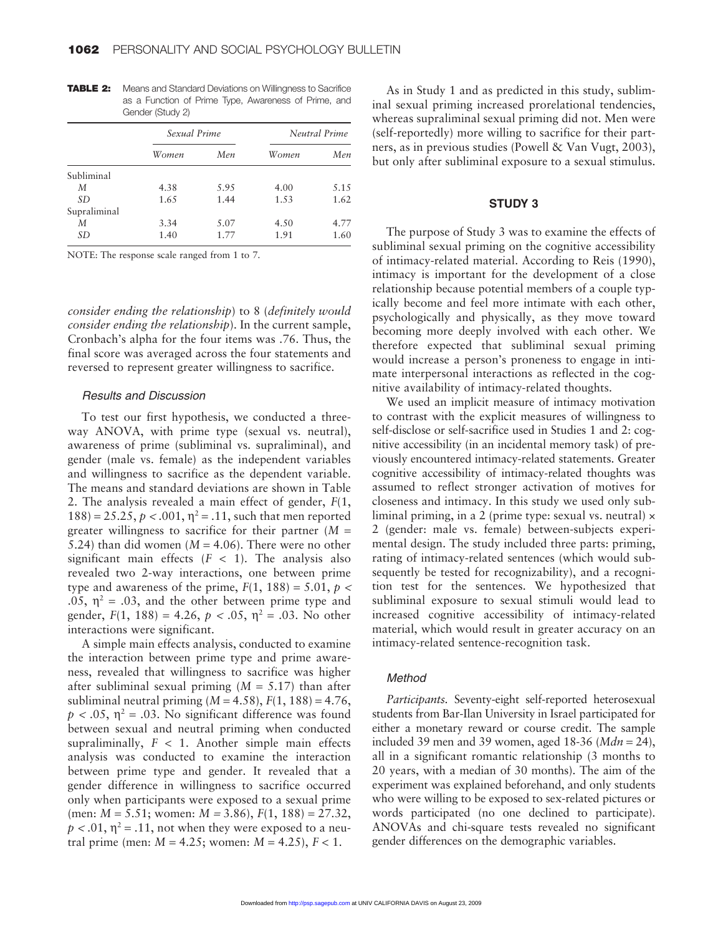|              | Sexual Prime |      | Neutral Prime |      |
|--------------|--------------|------|---------------|------|
|              | Women        | Men  | Women         | Men  |
| Subliminal   |              |      |               |      |
| M            | 4.38         | 5.95 | 4.00          | 5.15 |
| <i>SD</i>    | 1.65         | 1.44 | 1.53          | 1.62 |
| Supraliminal |              |      |               |      |
| М            | 3.34         | 5.07 | 4.50          | 4.77 |
| SD           | 1.40         | 1.77 | 1.91          | 1.60 |

**TABLE 2:** Means and Standard Deviations on Willingness to Sacrifice as a Function of Prime Type, Awareness of Prime, and Gender (Study 2)

NOTE: The response scale ranged from 1 to 7.

*consider ending the relationship*) to 8 (*definitely would consider ending the relationship*). In the current sample, Cronbach's alpha for the four items was .76. Thus, the final score was averaged across the four statements and reversed to represent greater willingness to sacrifice.

#### Results and Discussion

To test our first hypothesis, we conducted a threeway ANOVA, with prime type (sexual vs. neutral), awareness of prime (subliminal vs. supraliminal), and gender (male vs. female) as the independent variables and willingness to sacrifice as the dependent variable. The means and standard deviations are shown in Table 2. The analysis revealed a main effect of gender, *F*(1,  $188$ ) = 25.25,  $p < .001$ ,  $\eta^2 = .11$ , such that men reported greater willingness to sacrifice for their partner (*M* = 5.24) than did women (*M* = 4.06). There were no other significant main effects  $(F < 1)$ . The analysis also revealed two 2-way interactions, one between prime type and awareness of the prime,  $F(1, 188) = 5.01$ ,  $p <$ .05,  $\eta^2$  = .03, and the other between prime type and gender,  $F(1, 188) = 4.26$ ,  $p < .05$ ,  $\eta^2 = .03$ . No other interactions were significant.

A simple main effects analysis, conducted to examine the interaction between prime type and prime awareness, revealed that willingness to sacrifice was higher after subliminal sexual priming (*M* = 5.17) than after subliminal neutral priming (*M* = 4.58), *F*(1, 188) = 4.76,  $p < .05$ ,  $\eta^2 = .03$ . No significant difference was found between sexual and neutral priming when conducted supraliminally,  $F < 1$ . Another simple main effects analysis was conducted to examine the interaction between prime type and gender. It revealed that a gender difference in willingness to sacrifice occurred only when participants were exposed to a sexual prime (men: *M* = 5.51; women: *M* <sup>=</sup> 3.86), *F*(1, 188) = 27.32,  $p < .01$ ,  $\eta^2 = .11$ , not when they were exposed to a neutral prime (men:  $M = 4.25$ ; women:  $M = 4.25$ ),  $F < 1$ .

As in Study 1 and as predicted in this study, subliminal sexual priming increased prorelational tendencies, whereas supraliminal sexual priming did not. Men were (self-reportedly) more willing to sacrifice for their partners, as in previous studies (Powell & Van Vugt, 2003), but only after subliminal exposure to a sexual stimulus.

#### **STUDY 3**

The purpose of Study 3 was to examine the effects of subliminal sexual priming on the cognitive accessibility of intimacy-related material. According to Reis (1990), intimacy is important for the development of a close relationship because potential members of a couple typically become and feel more intimate with each other, psychologically and physically, as they move toward becoming more deeply involved with each other. We therefore expected that subliminal sexual priming would increase a person's proneness to engage in intimate interpersonal interactions as reflected in the cognitive availability of intimacy-related thoughts.

We used an implicit measure of intimacy motivation to contrast with the explicit measures of willingness to self-disclose or self-sacrifice used in Studies 1 and 2: cognitive accessibility (in an incidental memory task) of previously encountered intimacy-related statements. Greater cognitive accessibility of intimacy-related thoughts was assumed to reflect stronger activation of motives for closeness and intimacy. In this study we used only subliminal priming, in a 2 (prime type: sexual vs. neutral)  $\times$ 2 (gender: male vs. female) between-subjects experimental design. The study included three parts: priming, rating of intimacy-related sentences (which would subsequently be tested for recognizability), and a recognition test for the sentences. We hypothesized that subliminal exposure to sexual stimuli would lead to increased cognitive accessibility of intimacy-related material, which would result in greater accuracy on an intimacy-related sentence-recognition task.

#### Method

*Participants.* Seventy-eight self-reported heterosexual students from Bar-Ilan University in Israel participated for either a monetary reward or course credit. The sample included 39 men and 39 women, aged 18-36 (*Mdn* = 24), all in a significant romantic relationship (3 months to 20 years, with a median of 30 months). The aim of the experiment was explained beforehand, and only students who were willing to be exposed to sex-related pictures or words participated (no one declined to participate). ANOVAs and chi-square tests revealed no significant gender differences on the demographic variables.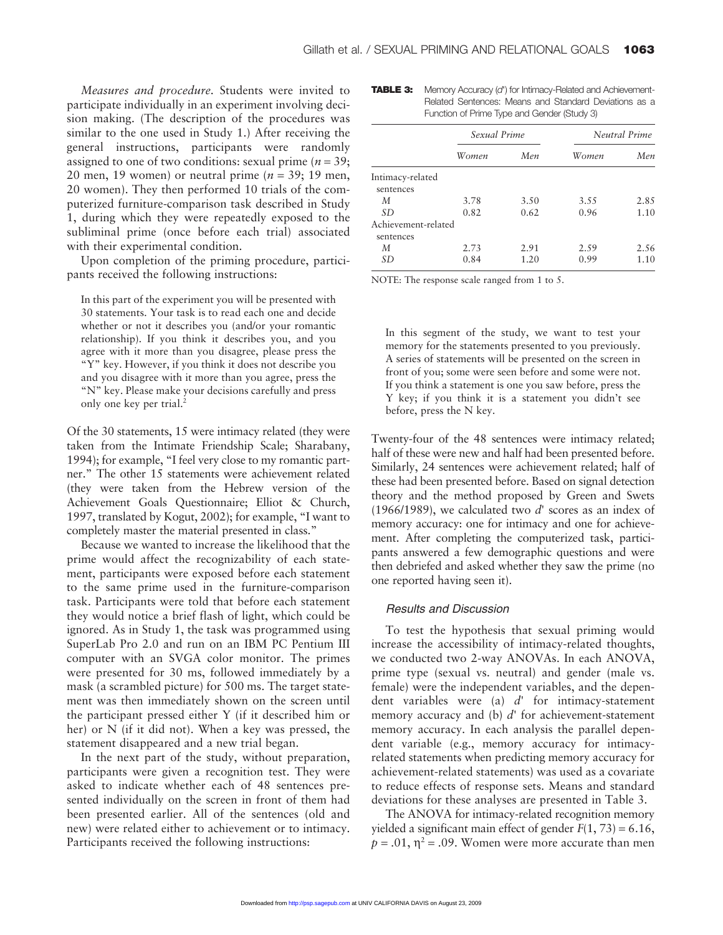*Measures and procedure.* Students were invited to participate individually in an experiment involving decision making. (The description of the procedures was similar to the one used in Study 1.) After receiving the general instructions, participants were randomly assigned to one of two conditions: sexual prime (*n* = 39; 20 men, 19 women) or neutral prime (*n* = 39; 19 men, 20 women). They then performed 10 trials of the computerized furniture-comparison task described in Study 1, during which they were repeatedly exposed to the subliminal prime (once before each trial) associated with their experimental condition.

Upon completion of the priming procedure, participants received the following instructions:

In this part of the experiment you will be presented with 30 statements. Your task is to read each one and decide whether or not it describes you (and/or your romantic relationship). If you think it describes you, and you agree with it more than you disagree, please press the "Y" key. However, if you think it does not describe you and you disagree with it more than you agree, press the "N" key. Please make your decisions carefully and press only one key per trial.<sup>2</sup>

Of the 30 statements, 15 were intimacy related (they were taken from the Intimate Friendship Scale; Sharabany, 1994); for example, "I feel very close to my romantic partner." The other 15 statements were achievement related (they were taken from the Hebrew version of the Achievement Goals Questionnaire; Elliot & Church, 1997, translated by Kogut, 2002); for example, "I want to completely master the material presented in class."

Because we wanted to increase the likelihood that the prime would affect the recognizability of each statement, participants were exposed before each statement to the same prime used in the furniture-comparison task. Participants were told that before each statement they would notice a brief flash of light, which could be ignored. As in Study 1, the task was programmed using SuperLab Pro 2.0 and run on an IBM PC Pentium III computer with an SVGA color monitor. The primes were presented for 30 ms, followed immediately by a mask (a scrambled picture) for 500 ms. The target statement was then immediately shown on the screen until the participant pressed either Y (if it described him or her) or N (if it did not). When a key was pressed, the statement disappeared and a new trial began.

In the next part of the study, without preparation, participants were given a recognition test. They were asked to indicate whether each of 48 sentences presented individually on the screen in front of them had been presented earlier. All of the sentences (old and new) were related either to achievement or to intimacy. Participants received the following instructions:

| <b>TABLE 3:</b> | Memory Accuracy (d') for Intimacy-Related and Achievement- |  |  |  |  |  |
|-----------------|------------------------------------------------------------|--|--|--|--|--|
|                 | Related Sentences: Means and Standard Deviations as a      |  |  |  |  |  |
|                 | Function of Prime Type and Gender (Study 3)                |  |  |  |  |  |

|                     |       | Sexual Prime |       | Neutral Prime |  |
|---------------------|-------|--------------|-------|---------------|--|
|                     | Women | Men          | Women | Men           |  |
| Intimacy-related    |       |              |       |               |  |
| sentences           |       |              |       |               |  |
| М                   | 3.78  | 3.50         | 3.55  | 2.85          |  |
| <b>SD</b>           | 0.82  | 0.62         | 0.96  | 1.10          |  |
| Achievement-related |       |              |       |               |  |
| sentences           |       |              |       |               |  |
| М                   | 2.73  | 2.91         | 2.59  | 2.56          |  |
| SD                  | 0.84  | 1.20         | 0.99  | 1.10          |  |

NOTE: The response scale ranged from 1 to 5.

In this segment of the study, we want to test your memory for the statements presented to you previously. A series of statements will be presented on the screen in front of you; some were seen before and some were not. If you think a statement is one you saw before, press the Y key; if you think it is a statement you didn't see before, press the N key.

Twenty-four of the 48 sentences were intimacy related; half of these were new and half had been presented before. Similarly, 24 sentences were achievement related; half of these had been presented before. Based on signal detection theory and the method proposed by Green and Swets (1966/1989), we calculated two *d*' scores as an index of memory accuracy: one for intimacy and one for achievement. After completing the computerized task, participants answered a few demographic questions and were then debriefed and asked whether they saw the prime (no one reported having seen it).

#### Results and Discussion

To test the hypothesis that sexual priming would increase the accessibility of intimacy-related thoughts, we conducted two 2-way ANOVAs. In each ANOVA, prime type (sexual vs. neutral) and gender (male vs. female) were the independent variables, and the dependent variables were (a) *d*' for intimacy-statement memory accuracy and (b) *d*' for achievement-statement memory accuracy. In each analysis the parallel dependent variable (e.g., memory accuracy for intimacyrelated statements when predicting memory accuracy for achievement-related statements) was used as a covariate to reduce effects of response sets. Means and standard deviations for these analyses are presented in Table 3.

The ANOVA for intimacy-related recognition memory yielded a significant main effect of gender  $F(1, 73) = 6.16$ ,  $p = .01$ ,  $\eta^2 = .09$ . Women were more accurate than men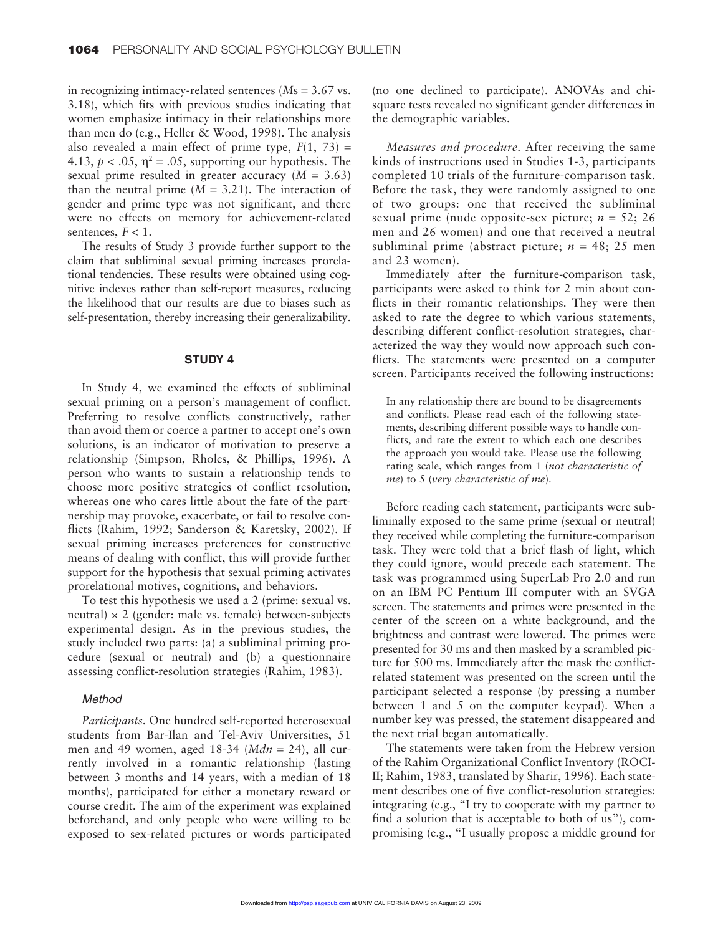in recognizing intimacy-related sentences (*M*s = 3.67 vs. 3.18), which fits with previous studies indicating that women emphasize intimacy in their relationships more than men do (e.g., Heller & Wood, 1998). The analysis also revealed a main effect of prime type,  $F(1, 73) =$ 4.13,  $p < .05$ ,  $\eta^2 = .05$ , supporting our hypothesis. The sexual prime resulted in greater accuracy (*M* = 3.63) than the neutral prime  $(M = 3.21)$ . The interaction of gender and prime type was not significant, and there were no effects on memory for achievement-related sentences,  $F < 1$ .

The results of Study 3 provide further support to the claim that subliminal sexual priming increases prorelational tendencies. These results were obtained using cognitive indexes rather than self-report measures, reducing the likelihood that our results are due to biases such as self-presentation, thereby increasing their generalizability.

#### **STUDY 4**

In Study 4, we examined the effects of subliminal sexual priming on a person's management of conflict. Preferring to resolve conflicts constructively, rather than avoid them or coerce a partner to accept one's own solutions, is an indicator of motivation to preserve a relationship (Simpson, Rholes, & Phillips, 1996). A person who wants to sustain a relationship tends to choose more positive strategies of conflict resolution, whereas one who cares little about the fate of the partnership may provoke, exacerbate, or fail to resolve conflicts (Rahim, 1992; Sanderson & Karetsky, 2002). If sexual priming increases preferences for constructive means of dealing with conflict, this will provide further support for the hypothesis that sexual priming activates prorelational motives, cognitions, and behaviors.

To test this hypothesis we used a 2 (prime: sexual vs. neutral)  $\times$  2 (gender: male vs. female) between-subjects experimental design. As in the previous studies, the study included two parts: (a) a subliminal priming procedure (sexual or neutral) and (b) a questionnaire assessing conflict-resolution strategies (Rahim, 1983).

#### Method

*Participants.* One hundred self-reported heterosexual students from Bar-Ilan and Tel-Aviv Universities, 51 men and 49 women, aged 18-34 (*Mdn* = 24), all currently involved in a romantic relationship (lasting between 3 months and 14 years, with a median of 18 months), participated for either a monetary reward or course credit. The aim of the experiment was explained beforehand, and only people who were willing to be exposed to sex-related pictures or words participated

(no one declined to participate). ANOVAs and chisquare tests revealed no significant gender differences in the demographic variables.

*Measures and procedure.* After receiving the same kinds of instructions used in Studies 1-3, participants completed 10 trials of the furniture-comparison task. Before the task, they were randomly assigned to one of two groups: one that received the subliminal sexual prime (nude opposite-sex picture; *n* = 52; 26 men and 26 women) and one that received a neutral subliminal prime (abstract picture; *n* = 48; 25 men and 23 women).

Immediately after the furniture-comparison task, participants were asked to think for 2 min about conflicts in their romantic relationships. They were then asked to rate the degree to which various statements, describing different conflict-resolution strategies, characterized the way they would now approach such conflicts. The statements were presented on a computer screen. Participants received the following instructions:

In any relationship there are bound to be disagreements and conflicts. Please read each of the following statements, describing different possible ways to handle conflicts, and rate the extent to which each one describes the approach you would take. Please use the following rating scale, which ranges from 1 (*not characteristic of me*) to 5 (*very characteristic of me*).

Before reading each statement, participants were subliminally exposed to the same prime (sexual or neutral) they received while completing the furniture-comparison task. They were told that a brief flash of light, which they could ignore, would precede each statement. The task was programmed using SuperLab Pro 2.0 and run on an IBM PC Pentium III computer with an SVGA screen. The statements and primes were presented in the center of the screen on a white background, and the brightness and contrast were lowered. The primes were presented for 30 ms and then masked by a scrambled picture for 500 ms. Immediately after the mask the conflictrelated statement was presented on the screen until the participant selected a response (by pressing a number between 1 and 5 on the computer keypad). When a number key was pressed, the statement disappeared and the next trial began automatically.

The statements were taken from the Hebrew version of the Rahim Organizational Conflict Inventory (ROCI-II; Rahim, 1983, translated by Sharir, 1996). Each statement describes one of five conflict-resolution strategies: integrating (e.g., "I try to cooperate with my partner to find a solution that is acceptable to both of us"), compromising (e.g., "I usually propose a middle ground for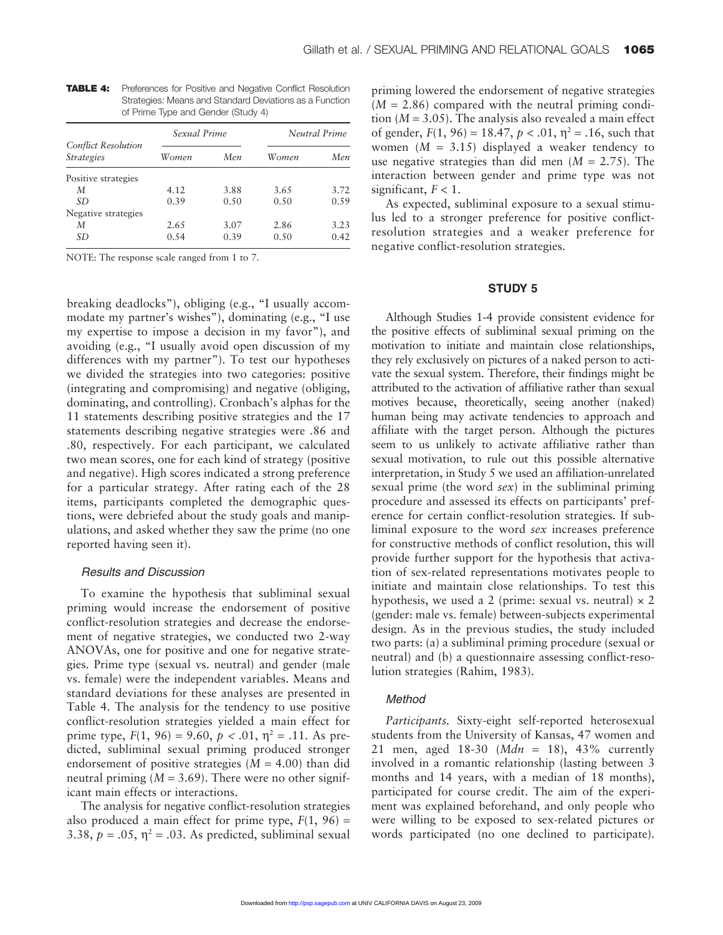|                                                        | Sexual Prime |      | Neutral Prime |      |
|--------------------------------------------------------|--------------|------|---------------|------|
| Conflict Resolution<br><i><u><b>Strategies</b></u></i> | Women        | Men  | Women         | Men  |
| Positive strategies                                    |              |      |               |      |
| M                                                      | 4.12         | 3.88 | 3.65          | 3.72 |
| <b>SD</b>                                              | 0.39         | 0.50 | 0.50          | 0.59 |
| Negative strategies                                    |              |      |               |      |
| М                                                      | 2.65         | 3.07 | 2.86          | 3.23 |
| SD                                                     | 0.54         | 0.39 | 0.50          | 0.42 |

**TABLE 4:** Preferences for Positive and Negative Conflict Resolution Strategies: Means and Standard Deviations as a Function of Prime Type and Gender (Study 4)

NOTE: The response scale ranged from 1 to 7.

breaking deadlocks"), obliging (e.g., "I usually accommodate my partner's wishes"), dominating (e.g., "I use my expertise to impose a decision in my favor"), and avoiding (e.g., "I usually avoid open discussion of my differences with my partner"). To test our hypotheses we divided the strategies into two categories: positive (integrating and compromising) and negative (obliging, dominating, and controlling). Cronbach's alphas for the 11 statements describing positive strategies and the 17 statements describing negative strategies were .86 and .80, respectively. For each participant, we calculated two mean scores, one for each kind of strategy (positive and negative). High scores indicated a strong preference for a particular strategy. After rating each of the 28 items, participants completed the demographic questions, were debriefed about the study goals and manipulations, and asked whether they saw the prime (no one reported having seen it).

#### Results and Discussion

To examine the hypothesis that subliminal sexual priming would increase the endorsement of positive conflict-resolution strategies and decrease the endorsement of negative strategies, we conducted two 2-way ANOVAs, one for positive and one for negative strategies. Prime type (sexual vs. neutral) and gender (male vs. female) were the independent variables. Means and standard deviations for these analyses are presented in Table 4. The analysis for the tendency to use positive conflict-resolution strategies yielded a main effect for prime type,  $F(1, 96) = 9.60$ ,  $p < .01$ ,  $\eta^2 = .11$ . As predicted, subliminal sexual priming produced stronger endorsement of positive strategies  $(M = 4.00)$  than did neutral priming  $(M = 3.69)$ . There were no other significant main effects or interactions.

The analysis for negative conflict-resolution strategies also produced a main effect for prime type,  $F(1, 96)$  = 3.38,  $p = .05$ ,  $\eta^2 = .03$ . As predicted, subliminal sexual priming lowered the endorsement of negative strategies  $(M = 2.86)$  compared with the neutral priming condition (*M* = 3.05). The analysis also revealed a main effect of gender,  $F(1, 96) = 18.47$ ,  $p < .01$ ,  $\eta^2 = .16$ , such that women (*M* = 3.15) displayed a weaker tendency to use negative strategies than did men  $(M = 2.75)$ . The interaction between gender and prime type was not significant,  $F < 1$ .

As expected, subliminal exposure to a sexual stimulus led to a stronger preference for positive conflictresolution strategies and a weaker preference for negative conflict-resolution strategies.

#### **STUDY 5**

Although Studies 1-4 provide consistent evidence for the positive effects of subliminal sexual priming on the motivation to initiate and maintain close relationships, they rely exclusively on pictures of a naked person to activate the sexual system. Therefore, their findings might be attributed to the activation of affiliative rather than sexual motives because, theoretically, seeing another (naked) human being may activate tendencies to approach and affiliate with the target person. Although the pictures seem to us unlikely to activate affiliative rather than sexual motivation, to rule out this possible alternative interpretation, in Study 5 we used an affiliation-unrelated sexual prime (the word *sex*) in the subliminal priming procedure and assessed its effects on participants' preference for certain conflict-resolution strategies. If subliminal exposure to the word *sex* increases preference for constructive methods of conflict resolution, this will provide further support for the hypothesis that activation of sex-related representations motivates people to initiate and maintain close relationships. To test this hypothesis, we used a 2 (prime: sexual vs. neutral)  $\times$  2 (gender: male vs. female) between-subjects experimental design. As in the previous studies, the study included two parts: (a) a subliminal priming procedure (sexual or neutral) and (b) a questionnaire assessing conflict-resolution strategies (Rahim, 1983).

#### Method

*Participants.* Sixty-eight self-reported heterosexual students from the University of Kansas, 47 women and 21 men, aged 18-30 (*Mdn* = 18), 43% currently involved in a romantic relationship (lasting between 3 months and 14 years, with a median of 18 months), participated for course credit. The aim of the experiment was explained beforehand, and only people who were willing to be exposed to sex-related pictures or words participated (no one declined to participate).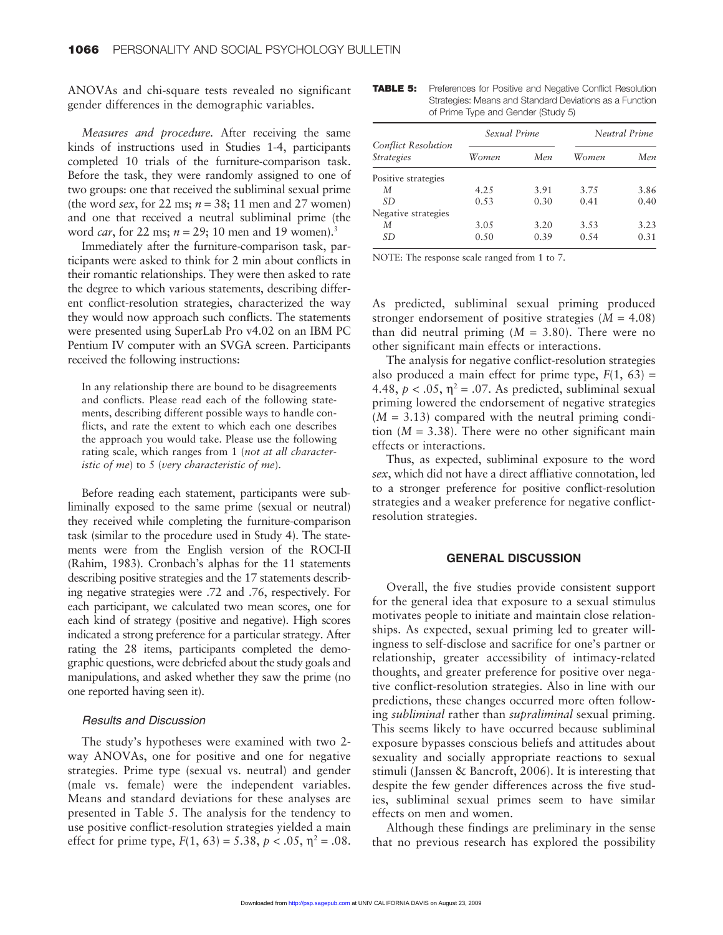ANOVAs and chi-square tests revealed no significant gender differences in the demographic variables.

*Measures and procedure.* After receiving the same kinds of instructions used in Studies 1-4, participants completed 10 trials of the furniture-comparison task. Before the task, they were randomly assigned to one of two groups: one that received the subliminal sexual prime (the word *sex*, for 22 ms; *n* = 38; 11 men and 27 women) and one that received a neutral subliminal prime (the word *car*, for 22 ms; *n* = 29; 10 men and 19 women).<sup>3</sup>

Immediately after the furniture-comparison task, participants were asked to think for 2 min about conflicts in their romantic relationships. They were then asked to rate the degree to which various statements, describing different conflict-resolution strategies, characterized the way they would now approach such conflicts. The statements were presented using SuperLab Pro v4.02 on an IBM PC Pentium IV computer with an SVGA screen. Participants received the following instructions:

In any relationship there are bound to be disagreements and conflicts. Please read each of the following statements, describing different possible ways to handle conflicts, and rate the extent to which each one describes the approach you would take. Please use the following rating scale, which ranges from 1 (*not at all characteristic of me*) to 5 (*very characteristic of me*).

Before reading each statement, participants were subliminally exposed to the same prime (sexual or neutral) they received while completing the furniture-comparison task (similar to the procedure used in Study 4). The statements were from the English version of the ROCI-II (Rahim, 1983). Cronbach's alphas for the 11 statements describing positive strategies and the 17 statements describing negative strategies were .72 and .76, respectively. For each participant, we calculated two mean scores, one for each kind of strategy (positive and negative). High scores indicated a strong preference for a particular strategy. After rating the 28 items, participants completed the demographic questions, were debriefed about the study goals and manipulations, and asked whether they saw the prime (no one reported having seen it).

#### Results and Discussion

The study's hypotheses were examined with two 2 way ANOVAs, one for positive and one for negative strategies. Prime type (sexual vs. neutral) and gender (male vs. female) were the independent variables. Means and standard deviations for these analyses are presented in Table 5. The analysis for the tendency to use positive conflict-resolution strategies yielded a main effect for prime type,  $F(1, 63) = 5.38$ ,  $p < .05$ ,  $\eta^2 = .08$ .

| <b>TABLE 5:</b> Preferences for Positive and Negative Conflict Resolution |
|---------------------------------------------------------------------------|
| Strategies: Means and Standard Deviations as a Function                   |
| of Prime Type and Gender (Study 5)                                        |

|                                          | Sexual Prime |      | Neutral Prime |      |
|------------------------------------------|--------------|------|---------------|------|
| Conflict Resolution<br><b>Strategies</b> | Women        | Men  | Women         | Men  |
| Positive strategies                      |              |      |               |      |
| М                                        | 4.2.5        | 3.91 | 3.75          | 3.86 |
| SD.                                      | 0.53         | 0.30 | 0.41          | 0.40 |
| Negative strategies                      |              |      |               |      |
| М                                        | 3.05         | 3.20 | 3.53          | 3.23 |
| SD                                       | 0.50         | 0.39 | 0.54          | 0.31 |

NOTE: The response scale ranged from 1 to 7.

As predicted, subliminal sexual priming produced stronger endorsement of positive strategies (*M* = 4.08) than did neutral priming  $(M = 3.80)$ . There were no other significant main effects or interactions.

The analysis for negative conflict-resolution strategies also produced a main effect for prime type,  $F(1, 63) =$ 4.48,  $p < .05$ ,  $\eta^2 = .07$ . As predicted, subliminal sexual priming lowered the endorsement of negative strategies  $(M = 3.13)$  compared with the neutral priming condition  $(M = 3.38)$ . There were no other significant main effects or interactions.

Thus, as expected, subliminal exposure to the word *sex*, which did not have a direct affliative connotation, led to a stronger preference for positive conflict-resolution strategies and a weaker preference for negative conflictresolution strategies.

#### **GENERAL DISCUSSION**

Overall, the five studies provide consistent support for the general idea that exposure to a sexual stimulus motivates people to initiate and maintain close relationships. As expected, sexual priming led to greater willingness to self-disclose and sacrifice for one's partner or relationship, greater accessibility of intimacy-related thoughts, and greater preference for positive over negative conflict-resolution strategies. Also in line with our predictions, these changes occurred more often following *subliminal* rather than *supraliminal* sexual priming. This seems likely to have occurred because subliminal exposure bypasses conscious beliefs and attitudes about sexuality and socially appropriate reactions to sexual stimuli (Janssen & Bancroft, 2006). It is interesting that despite the few gender differences across the five studies, subliminal sexual primes seem to have similar effects on men and women.

Although these findings are preliminary in the sense that no previous research has explored the possibility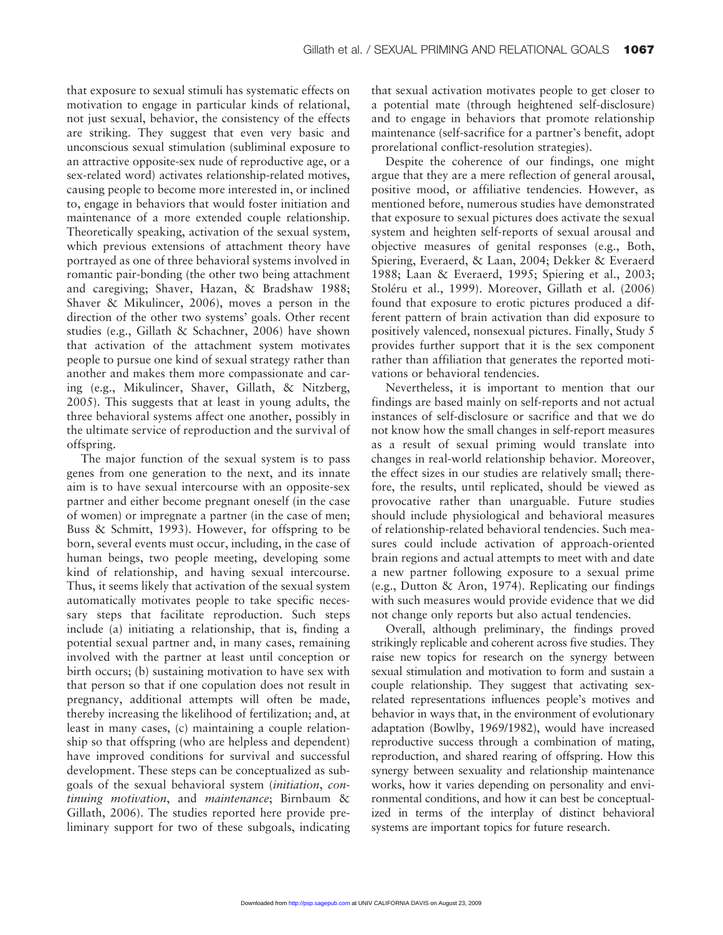that exposure to sexual stimuli has systematic effects on motivation to engage in particular kinds of relational, not just sexual, behavior, the consistency of the effects are striking. They suggest that even very basic and unconscious sexual stimulation (subliminal exposure to an attractive opposite-sex nude of reproductive age, or a sex-related word) activates relationship-related motives, causing people to become more interested in, or inclined to, engage in behaviors that would foster initiation and maintenance of a more extended couple relationship. Theoretically speaking, activation of the sexual system, which previous extensions of attachment theory have portrayed as one of three behavioral systems involved in romantic pair-bonding (the other two being attachment and caregiving; Shaver, Hazan, & Bradshaw 1988; Shaver & Mikulincer, 2006), moves a person in the direction of the other two systems' goals. Other recent studies (e.g., Gillath & Schachner, 2006) have shown that activation of the attachment system motivates people to pursue one kind of sexual strategy rather than another and makes them more compassionate and caring (e.g., Mikulincer, Shaver, Gillath, & Nitzberg, 2005). This suggests that at least in young adults, the three behavioral systems affect one another, possibly in the ultimate service of reproduction and the survival of offspring.

The major function of the sexual system is to pass genes from one generation to the next, and its innate aim is to have sexual intercourse with an opposite-sex partner and either become pregnant oneself (in the case of women) or impregnate a partner (in the case of men; Buss & Schmitt, 1993). However, for offspring to be born, several events must occur, including, in the case of human beings, two people meeting, developing some kind of relationship, and having sexual intercourse. Thus, it seems likely that activation of the sexual system automatically motivates people to take specific necessary steps that facilitate reproduction. Such steps include (a) initiating a relationship, that is, finding a potential sexual partner and, in many cases, remaining involved with the partner at least until conception or birth occurs; (b) sustaining motivation to have sex with that person so that if one copulation does not result in pregnancy, additional attempts will often be made, thereby increasing the likelihood of fertilization; and, at least in many cases, (c) maintaining a couple relationship so that offspring (who are helpless and dependent) have improved conditions for survival and successful development. These steps can be conceptualized as subgoals of the sexual behavioral system (*initiation*, *continuing motivation*, and *maintenance*; Birnbaum & Gillath, 2006). The studies reported here provide preliminary support for two of these subgoals, indicating

that sexual activation motivates people to get closer to a potential mate (through heightened self-disclosure) and to engage in behaviors that promote relationship maintenance (self-sacrifice for a partner's benefit, adopt prorelational conflict-resolution strategies).

Despite the coherence of our findings, one might argue that they are a mere reflection of general arousal, positive mood, or affiliative tendencies. However, as mentioned before, numerous studies have demonstrated that exposure to sexual pictures does activate the sexual system and heighten self-reports of sexual arousal and objective measures of genital responses (e.g., Both, Spiering, Everaerd, & Laan, 2004; Dekker & Everaerd 1988; Laan & Everaerd, 1995; Spiering et al., 2003; Stoléru et al., 1999). Moreover, Gillath et al. (2006) found that exposure to erotic pictures produced a different pattern of brain activation than did exposure to positively valenced, nonsexual pictures. Finally, Study 5 provides further support that it is the sex component rather than affiliation that generates the reported motivations or behavioral tendencies.

Nevertheless, it is important to mention that our findings are based mainly on self-reports and not actual instances of self-disclosure or sacrifice and that we do not know how the small changes in self-report measures as a result of sexual priming would translate into changes in real-world relationship behavior. Moreover, the effect sizes in our studies are relatively small; therefore, the results, until replicated, should be viewed as provocative rather than unarguable. Future studies should include physiological and behavioral measures of relationship-related behavioral tendencies. Such measures could include activation of approach-oriented brain regions and actual attempts to meet with and date a new partner following exposure to a sexual prime (e.g., Dutton & Aron, 1974). Replicating our findings with such measures would provide evidence that we did not change only reports but also actual tendencies.

Overall, although preliminary, the findings proved strikingly replicable and coherent across five studies. They raise new topics for research on the synergy between sexual stimulation and motivation to form and sustain a couple relationship. They suggest that activating sexrelated representations influences people's motives and behavior in ways that, in the environment of evolutionary adaptation (Bowlby, 1969/1982), would have increased reproductive success through a combination of mating, reproduction, and shared rearing of offspring. How this synergy between sexuality and relationship maintenance works, how it varies depending on personality and environmental conditions, and how it can best be conceptualized in terms of the interplay of distinct behavioral systems are important topics for future research.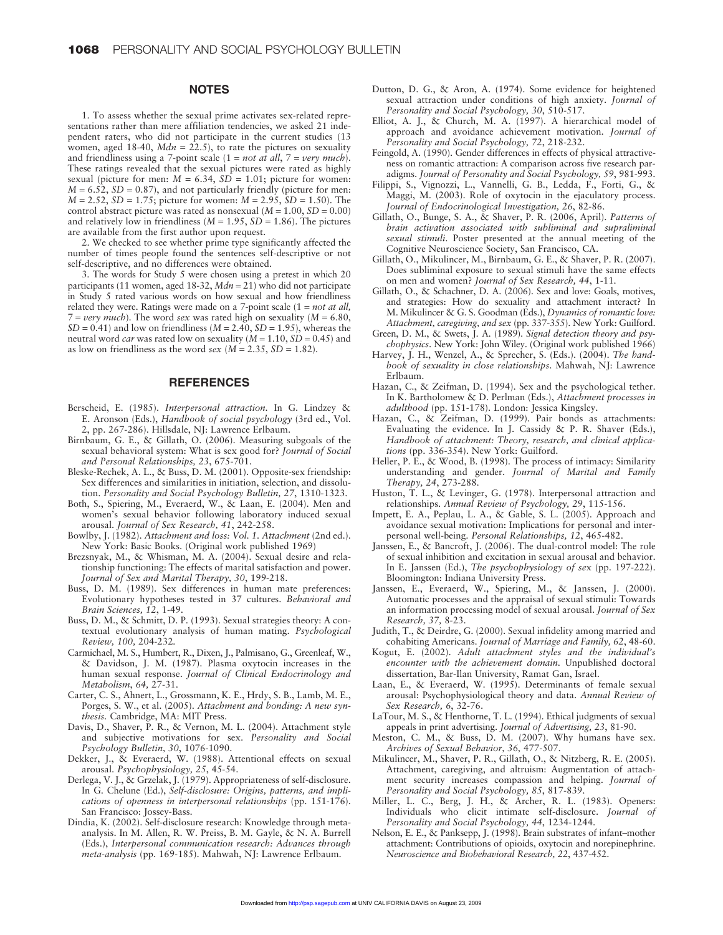#### **NOTES**

1. To assess whether the sexual prime activates sex-related representations rather than mere affiliation tendencies, we asked 21 independent raters, who did not participate in the current studies (13 women, aged 18-40,  $Mdn = 22.5$ ), to rate the pictures on sexuality and friendliness using a 7-point scale (1 = *not at all*, 7 = *very much*). These ratings revealed that the sexual pictures were rated as highly sexual (picture for men:  $M = 6.34$ ,  $SD = 1.01$ ; picture for women:  $M = 6.52$ ,  $SD = 0.87$ ), and not particularly friendly (picture for men: *M* = 2.52, *SD* = 1.75; picture for women: *M* = 2.95, *SD* = 1.50). The control abstract picture was rated as nonsexual  $(M = 1.00, SD = 0.00)$ and relatively low in friendliness ( $M = 1.95$ ,  $SD = 1.86$ ). The pictures are available from the first author upon request.

2. We checked to see whether prime type significantly affected the number of times people found the sentences self-descriptive or not self-descriptive, and no differences were obtained.

3. The words for Study 5 were chosen using a pretest in which 20 participants (11 women, aged 18-32, *Mdn* = 21) who did not participate in Study 5 rated various words on how sexual and how friendliness related they were. Ratings were made on a 7-point scale (1 = *not at all,*  $7 = very \, much$ ). The word *sex* was rated high on sexuality ( $M = 6.80$ ,  $SD = 0.41$ ) and low on friendliness ( $M = 2.40$ ,  $SD = 1.95$ ), whereas the neutral word *car* was rated low on sexuality (*M* = 1.10, *SD* = 0.45) and as low on friendliness as the word *sex*  $(M = 2.35, SD = 1.82)$ .

#### **REFERENCES**

- Berscheid, E. (1985). *Interpersonal attraction.* In G. Lindzey & E. Aronson (Eds.), *Handbook of social psychology* (3rd ed., Vol. 2, pp. 267-286). Hillsdale, NJ: Lawrence Erlbaum.
- Birnbaum, G. E., & Gillath, O. (2006). Measuring subgoals of the sexual behavioral system: What is sex good for? *Journal of Social and Personal Relationships, 23*, 675-701.
- Bleske-Rechek, A. L., & Buss, D. M. (2001). Opposite-sex friendship: Sex differences and similarities in initiation, selection, and dissolution. *Personality and Social Psychology Bulletin, 27*, 1310-1323.
- Both, S., Spiering, M., Everaerd, W., & Laan, E. (2004). Men and women's sexual behavior following laboratory induced sexual arousal. *Journal of Sex Research, 41*, 242-258.
- Bowlby, J. (1982). *Attachment and loss: Vol. 1. Attachment* (2nd ed.). New York: Basic Books. (Original work published 1969)
- Brezsnyak, M., & Whisman, M. A. (2004). Sexual desire and relationship functioning: The effects of marital satisfaction and power. *Journal of Sex and Marital Therapy, 30*, 199-218.
- Buss, D. M. (1989). Sex differences in human mate preferences: Evolutionary hypotheses tested in 37 cultures. *Behavioral and Brain Sciences, 12*, 1-49.
- Buss, D. M., & Schmitt, D. P. (1993). Sexual strategies theory: A contextual evolutionary analysis of human mating. *Psychological Review, 100,* 204-232*.*
- Carmichael, M. S., Humbert, R., Dixen, J., Palmisano, G., Greenleaf, W., & Davidson, J. M. (1987). Plasma oxytocin increases in the human sexual response. *Journal of Clinical Endocrinology and Metabolism*, *64,* 27-31.
- Carter, C. S., Ahnert, L., Grossmann, K. E., Hrdy, S. B., Lamb, M. E., Porges, S. W., et al. (2005). *Attachment and bonding: A new synthesis.* Cambridge, MA: MIT Press.
- Davis, D., Shaver, P. R., & Vernon, M. L. (2004). Attachment style and subjective motivations for sex. *Personality and Social Psychology Bulletin, 30*, 1076-1090.
- Dekker, J., & Everaerd, W. (1988). Attentional effects on sexual arousal. *Psychophysiology, 25*, 45-54.
- Derlega, V. J., & Grzelak, J. (1979). Appropriateness of self-disclosure. In G. Chelune (Ed.), *Self-disclosure: Origins, patterns, and implications of openness in interpersonal relationships* (pp. 151-176). San Francisco: Jossey-Bass.
- Dindia, K. (2002). Self-disclosure research: Knowledge through metaanalysis. In M. Allen, R. W. Preiss, B. M. Gayle, & N. A. Burrell (Eds.), *Interpersonal communication research: Advances through meta-analysis* (pp. 169-185). Mahwah, NJ: Lawrence Erlbaum.
- Dutton, D. G., & Aron, A. (1974). Some evidence for heightened sexual attraction under conditions of high anxiety. *Journal of Personality and Social Psychology, 30*, 510-517.
- Elliot, A. J., & Church, M. A. (1997). A hierarchical model of approach and avoidance achievement motivation. *Journal of Personality and Social Psychology, 72*, 218-232.
- Feingold, A. (1990). Gender differences in effects of physical attractiveness on romantic attraction: A comparison across five research paradigms. *Journal of Personality and Social Psychology, 59*, 981-993.
- Filippi, S., Vignozzi, L., Vannelli, G. B., Ledda, F., Forti, G., & Maggi, M. (2003). Role of oxytocin in the ejaculatory process. *Journal of Endocrinological Investigation, 26*, 82-86.
- Gillath, O., Bunge, S. A., & Shaver, P. R. (2006, April). *Patterns of brain activation associated with subliminal and supraliminal sexual stimuli*. Poster presented at the annual meeting of the Cognitive Neuroscience Society, San Francisco, CA.
- Gillath, O., Mikulincer, M., Birnbaum, G. E., & Shaver, P. R. (2007). Does subliminal exposure to sexual stimuli have the same effects on men and women? *Journal of Sex Research, 44*, 1-11*.*
- Gillath, O., & Schachner, D. A. (2006). Sex and love: Goals, motives, and strategies: How do sexuality and attachment interact? In M. Mikulincer & G. S. Goodman (Eds.), *Dynamics of romantic love: Attachment, caregiving, and sex* (pp. 337-355). New York: Guilford.
- Green, D. M., & Swets, J. A. (1989). *Signal detection theory and psychophysics*. New York: John Wiley. (Original work published 1966)
- Harvey, J. H., Wenzel, A., & Sprecher, S. (Eds.). (2004). *The handbook of sexuality in close relationships*. Mahwah, NJ: Lawrence Erlbaum.
- Hazan, C., & Zeifman, D. (1994). Sex and the psychological tether. In K. Bartholomew & D. Perlman (Eds.), *Attachment processes in adulthood* (pp. 151-178). London: Jessica Kingsley.
- Hazan, C., & Zeifman, D. (1999). Pair bonds as attachments: Evaluating the evidence. In J. Cassidy & P. R. Shaver (Eds.), *Handbook of attachment: Theory, research, and clinical applications* (pp. 336-354). New York: Guilford.
- Heller, P. E., & Wood, B. (1998). The process of intimacy: Similarity understanding and gender. *Journal of Marital and Family Therapy, 24*, 273-288.
- Huston, T. L., & Levinger, G. (1978). Interpersonal attraction and relationships. *Annual Review of Psychology, 29*, 115-156.
- Impett, E. A., Peplau, L. A., & Gable, S. L. (2005). Approach and avoidance sexual motivation: Implications for personal and interpersonal well-being. *Personal Relationships, 12*, 465-482.
- Janssen, E., & Bancroft, J. (2006). The dual-control model: The role of sexual inhibition and excitation in sexual arousal and behavior. In E. Janssen (Ed.), *The psychophysiology of se*x (pp. 197-222). Bloomington: Indiana University Press.
- Janssen, E., Everaerd, W., Spiering, M., & Janssen, J. (2000). Automatic processes and the appraisal of sexual stimuli: Towards an information processing model of sexual arousal. *Journal of Sex Research, 37,* 8-23.
- Judith, T., & Deirdre, G. (2000). Sexual infidelity among married and cohabiting Americans. *Journal of Marriage and Family, 62*, 48-60.
- Kogut, E. (2002). *Adult attachment styles and the individual's encounter with the achievement domain.* Unpublished doctoral dissertation, Bar-Ilan University, Ramat Gan, Israel.
- Laan, E., & Everaerd, W. (1995). Determinants of female sexual arousal: Psychophysiological theory and data. *Annual Review of Sex Research, 6*, 32-76.
- LaTour, M. S., & Henthorne, T. L. (1994). Ethical judgments of sexual appeals in print advertising. *Journal of Advertising, 23*, 81-90.
- Meston, C. M., & Buss, D. M. (2007). Why humans have sex. *Archives of Sexual Behavior, 36,* 477-507.
- Mikulincer, M., Shaver, P. R., Gillath, O., & Nitzberg, R. E. (2005). Attachment, caregiving, and altruism: Augmentation of attachment security increases compassion and helping. *Journal of Personality and Social Psychology, 85*, 817-839.
- Miller, L. C., Berg, J. H., & Archer, R. L. (1983). Openers: Individuals who elicit intimate self-disclosure. *Journal of Personality and Social Psychology, 44*, 1234-1244.
- Nelson, E. E., & Panksepp, J. (1998). Brain substrates of infant–mother attachment: Contributions of opioids, oxytocin and norepinephrine. *Neuroscience and Biobehavioral Research, 22*, 437-452.